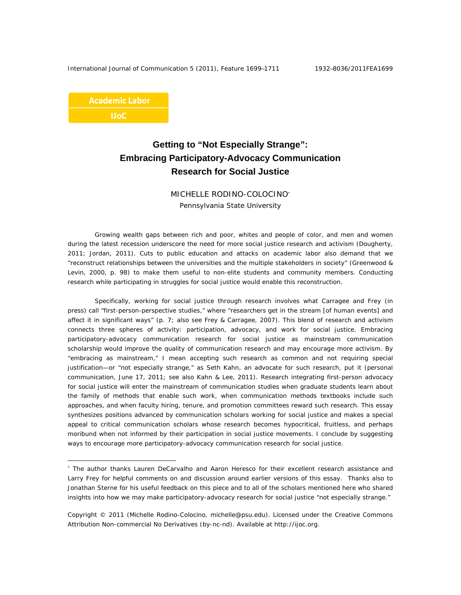**Academic Labor IJoC** 

 $\overline{a}$ 

# **Getting to "Not Especially Strange": Embracing Participatory-Advocacy Communication Research for Social Justice**

## MICHELLE RODINO-COLOCINO<sup>∗</sup>

Pennsylvania State University

Growing wealth gaps between rich and poor, whites and people of color, and men and women during the latest recession underscore the need for more social justice research and activism (Dougherty, 2011; Jordan, 2011). Cuts to public education and attacks on academic labor also demand that we "reconstruct relationships between the universities and the multiple stakeholders in society" (Greenwood & Levin, 2000, p. 98) to make them useful to non-elite students and community members. Conducting research while participating in struggles for social justice would enable this reconstruction.

Specifically, working for social justice through research involves what Carragee and Frey (in press) call "first-person-perspective studies," where "researchers get in the stream [of human events] and affect it in significant ways" (p. 7; also see Frey & Carragee, 2007). This blend of research and activism connects three spheres of activity: participation, advocacy, and work for social justice. Embracing participatory-advocacy communication research for social justice as mainstream communication scholarship would improve the quality of communication research and may encourage more activism. By "embracing as mainstream," I mean accepting such research as common and not requiring special justification—or "not especially strange," as Seth Kahn, an advocate for such research, put it (personal communication, June 17, 2011; see also Kahn & Lee, 2011). Research integrating first-person advocacy for social justice will enter the mainstream of communication studies when graduate students learn about the family of methods that enable such work, when communication methods textbooks include such approaches, and when faculty hiring, tenure, and promotion committees reward such research. This essay synthesizes positions advanced by communication scholars working for social justice and makes a special appeal to critical communication scholars whose research becomes hypocritical, fruitless, and perhaps moribund when not informed by their participation in social justice movements. I conclude by suggesting ways to encourage more participatory-advocacy communication research for social justice.

<sup>∗</sup> The author thanks Lauren DeCarvalho and Aaron Heresco for their excellent research assistance and Larry Frey for helpful comments on and discussion around earlier versions of this essay. Thanks also to Jonathan Sterne for his useful feedback on this piece and to all of the scholars mentioned here who shared insights into how we may make participatory-advocacy research for social justice "not especially strange."

Copyright © 2011 (Michelle Rodino-Colocino, michelle@psu.edu). Licensed under the Creative Commons Attribution Non-commercial No Derivatives (by-nc-nd). Available at http://ijoc.org.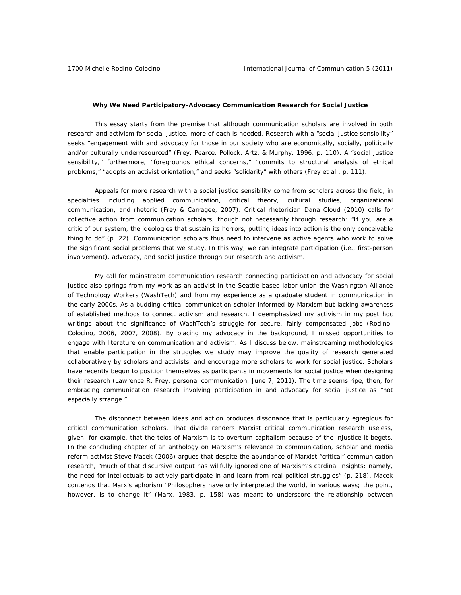#### **Why We Need Participatory-Advocacy Communication Research for Social Justice**

This essay starts from the premise that although communication scholars are involved in both research and activism for social justice, more of each is needed. Research with a "social justice sensibility" seeks "engagement with and advocacy for those in our society who are economically, socially, politically and/or culturally underresourced" (Frey, Pearce, Pollock, Artz, & Murphy, 1996, p. 110). A "social justice sensibility," furthermore, "foregrounds ethical concerns," "commits to structural analysis of ethical problems," "adopts an activist orientation," and seeks "solidarity" with others (Frey et al., p. 111).

Appeals for more research with a social justice sensibility come from scholars across the field, in specialties including applied communication, critical theory, cultural studies, organizational communication, and rhetoric (Frey & Carragee, 2007). Critical rhetorician Dana Cloud (2010) calls for collective action from communication scholars, though not necessarily through research: "If you are a critic of our system, the ideologies that sustain its horrors, putting ideas into action is the only conceivable thing to do" (p. 22). Communication scholars thus need to intervene as active agents who work to solve the significant social problems that we study. In this way, we can integrate participation (i.e., first-person involvement), advocacy, and social justice through our research and activism.

My call for mainstream communication research connecting participation and advocacy for social justice also springs from my work as an activist in the Seattle-based labor union the Washington Alliance of Technology Workers (WashTech) and from my experience as a graduate student in communication in the early 2000s. As a budding critical communication scholar informed by Marxism but lacking awareness of established methods to connect activism and research, I deemphasized my activism in my post hoc writings about the significance of WashTech's struggle for secure, fairly compensated jobs (Rodino-Colocino, 2006, 2007, 2008). By placing my advocacy in the background, I missed opportunities to engage with literature on communication and activism. As I discuss below, mainstreaming methodologies that enable participation in the struggles we study may improve the quality of research generated collaboratively by scholars and activists, and encourage more scholars to work for social justice. Scholars have recently begun to position themselves as participants in movements for social justice when designing their research (Lawrence R. Frey, personal communication, June 7, 2011). The time seems ripe, then, for embracing communication research involving participation in and advocacy for social justice as "not especially strange."

The disconnect between ideas and action produces dissonance that is particularly egregious for critical communication scholars. That divide renders Marxist critical communication research useless, given, for example, that the telos of Marxism is to overturn capitalism because of the injustice it begets. In the concluding chapter of an anthology on Marxism's relevance to communication, scholar and media reform activist Steve Macek (2006) argues that despite the abundance of Marxist "critical" communication research, "much of that discursive output has willfully ignored one of Marxism's cardinal insights: namely, the need for intellectuals to actively participate in and learn from real political struggles" (p. 218). Macek contends that Marx's aphorism "Philosophers have only *interpreted* the world, in various ways; the point, however, is to *change* it" (Marx, 1983, p. 158) was meant to underscore the relationship between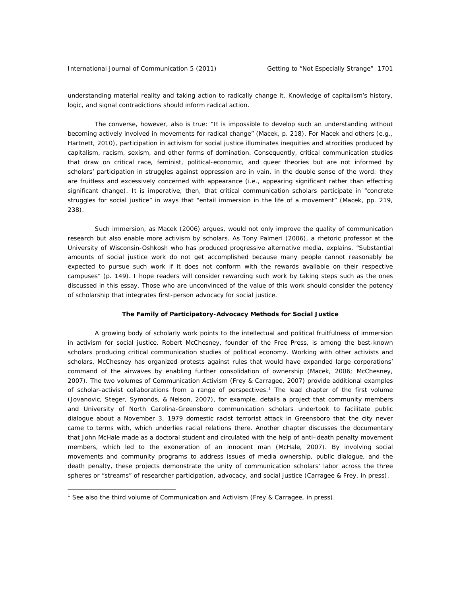understanding material reality and taking action to radically change it. Knowledge of capitalism's history, logic, and signal contradictions should inform radical action.

The converse, however, also is true: "It is impossible to develop such an understanding without becoming actively involved in movements for radical change" (Macek, p. 218). For Macek and others (e.g., Hartnett, 2010), participation in activism for social justice illuminates inequities and atrocities produced by capitalism, racism, sexism, and other forms of domination. Consequently, critical communication studies that draw on critical race, feminist, political-economic, and queer theories but are not informed by scholars' participation in struggles against oppression are in vain, in the double sense of the word: they are fruitless and excessively concerned with appearance (i.e., appearing significant rather than effecting significant change). It is imperative, then, that critical communication scholars participate in "concrete struggles for social justice" in ways that "entail immersion in the life of a movement" (Macek, pp. 219, 238).

Such immersion, as Macek (2006) argues, would not only improve the quality of communication research but also enable more activism by scholars. As Tony Palmeri (2006), a rhetoric professor at the University of Wisconsin-Oshkosh who has produced progressive alternative media, explains, "Substantial amounts of social justice work do not get accomplished because many people cannot reasonably be expected to pursue such work if it does not conform with the rewards available on their respective campuses" (p. 149). I hope readers will consider rewarding such work by taking steps such as the ones discussed in this essay. Those who are unconvinced of the value of this work should consider the potency of scholarship that integrates first-person advocacy for social justice.

### **The Family of Participatory-Advocacy Methods for Social Justice**

A growing body of scholarly work points to the intellectual and political fruitfulness of immersion in activism for social justice. Robert McChesney, founder of the Free Press, is among the best-known scholars producing critical communication studies of political economy. Working with other activists and scholars, McChesney has organized protests against rules that would have expanded large corporations' command of the airwaves by enabling further consolidation of ownership (Macek, 2006; McChesney, 2007). The two volumes of *Communication Activism* (Frey & Carragee, 2007) provide additional examples of scholar-activist collaborations from a range of perspectives.<sup>1</sup> The lead chapter of the first volume (Jovanovic, Steger, Symonds, & Nelson, 2007), for example, details a project that community members and University of North Carolina-Greensboro communication scholars undertook to facilitate public dialogue about a November 3, 1979 domestic racist terrorist attack in Greensboro that the city never came to terms with, which underlies racial relations there. Another chapter discusses the documentary that John McHale made as a doctoral student and circulated with the help of anti–death penalty movement members, which led to the exoneration of an innocent man (McHale, 2007). By involving social movements and community programs to address issues of media ownership, public dialogue, and the death penalty, these projects demonstrate the unity of communication scholars' labor across the three spheres or "streams" of researcher participation, advocacy, and social justice (Carragee & Frey, in press).

 $\overline{a}$ 

<sup>&</sup>lt;sup>1</sup> See also the third volume of *Communication and Activism* (Frey & Carragee, in press).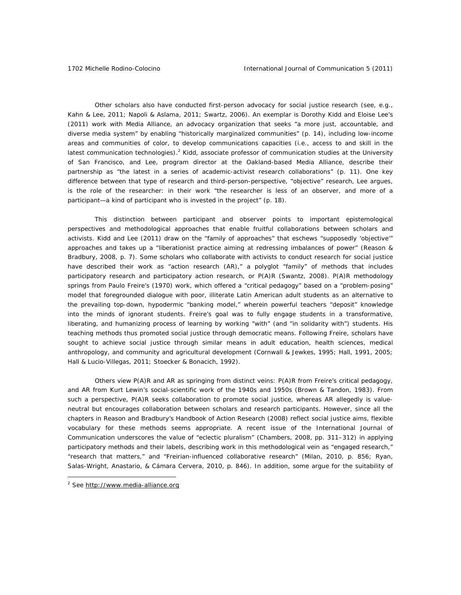Other scholars also have conducted first-person advocacy for social justice research (see, e.g., Kahn & Lee, 2011; Napoli & Aslama, 2011; Swartz, 2006). An exemplar is Dorothy Kidd and Eloise Lee's (2011) work with Media Alliance, an advocacy organization that seeks "a more just, accountable, and diverse media system" by enabling "historically marginalized communities" (p. 14), including low-income areas and communities of color, to develop communications capacities (i.e., access to and skill in the latest communication technologies).<sup>2</sup> Kidd, associate professor of communication studies at the University of San Francisco, and Lee, program director at the Oakland-based Media Alliance, describe their partnership as "the latest in a series of academic-activist research collaborations" (p. 11). One key difference between that type of research and third-person-perspective, "objective" research, Lee argues, is the role of the researcher: in their work "the researcher is less of an observer, and more of a participant—a kind of participant who is invested in the project" (p. 18).

This distinction between participant and observer points to important epistemological perspectives and methodological approaches that enable fruitful collaborations between scholars and activists. Kidd and Lee (2011) draw on the "family of approaches" that eschews "supposedly 'objective'" approaches and takes up a "liberationist practice aiming at redressing imbalances of power" (Reason & Bradbury, 2008, p. 7). Some scholars who collaborate with activists to conduct research for social justice have described their work as "action research (AR)," a polyglot "family" of methods that includes participatory research and participatory action research, or P(A)R (Swantz, 2008). P(A)R methodology springs from Paulo Freire's (1970) work, which offered a "critical pedagogy" based on a "problem-posing" model that foregrounded dialogue with poor, illiterate Latin American adult students as an alternative to the prevailing top-down, hypodermic "banking model," wherein powerful teachers "deposit" knowledge into the minds of ignorant students. Freire's goal was to fully engage students in a transformative, liberating, and humanizing process of learning by working "with" (and "in solidarity with") students. His teaching methods thus promoted social justice through democratic means. Following Freire, scholars have sought to achieve social justice through similar means in adult education, health sciences, medical anthropology, and community and agricultural development (Cornwall & Jewkes, 1995; Hall, 1991, 2005; Hall & Lucio-Villegas, 2011; Stoecker & Bonacich, 1992).

Others view P(A)R and AR as springing from distinct veins: P(A)R from Freire's critical pedagogy, and AR from Kurt Lewin's social-scientific work of the 1940s and 1950s (Brown & Tandon, 1983). From such a perspective, P(A)R seeks collaboration to promote social justice, whereas AR allegedly is valueneutral but encourages collaboration between scholars and research participants. However, since all the chapters in Reason and Bradbury's *Handbook of Action Research* (2008) reflect social justice aims, flexible vocabulary for these methods seems appropriate. A recent issue of the *International Journal of Communication* underscores the value of "eclectic pluralism" (Chambers, 2008, pp. 311–312) in applying participatory methods and their labels, describing work in this methodological vein as "engaged research," "research that matters," and "Freirian-influenced collaborative research" (Milan, 2010, p. 856; Ryan, Salas-Wright, Anastario, & Cámara Cervera, 2010, p. 846). In addition, some argue for the suitability of

 $\overline{a}$ 

<sup>&</sup>lt;sup>2</sup> See http://www.media-alliance.org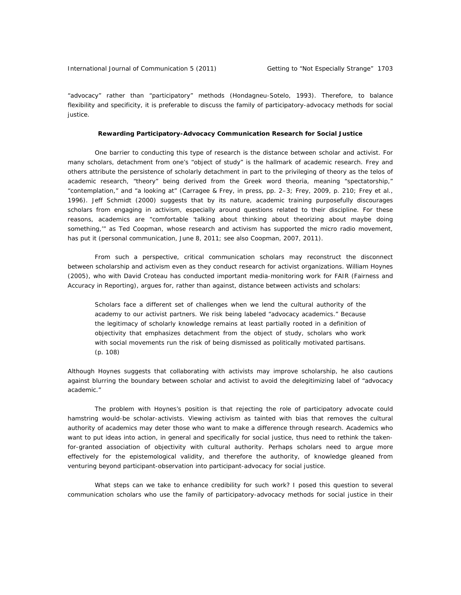"advocacy" rather than "participatory" methods (Hondagneu-Sotelo, 1993). Therefore, to balance flexibility and specificity, it is preferable to discuss the *family* of participatory-advocacy methods for social justice.

### **Rewarding Participatory-Advocacy Communication Research for Social Justice**

One barrier to conducting this type of research is the distance between scholar and activist. For many scholars, detachment from one's "object of study" is the hallmark of academic research. Frey and others attribute the persistence of scholarly detachment in part to the privileging of theory as the telos of academic research, "theory" being derived from the Greek word *theoria*, meaning "spectatorship," "contemplation," and "a looking at" (Carragee & Frey, in press, pp. 2–3; Frey, 2009, p. 210; Frey et al., 1996). Jeff Schmidt (2000) suggests that by its nature, academic training purposefully discourages scholars from engaging in activism, especially around questions related to their discipline. For these reasons, academics are "comfortable 'talking about thinking about theorizing about maybe doing something,<sup>"</sup> as Ted Coopman, whose research and activism has supported the micro radio movement, has put it (personal communication, June 8, 2011; see also Coopman, 2007, 2011).

From such a perspective, critical communication scholars may reconstruct the disconnect between scholarship and activism even as they conduct research for activist organizations. William Hoynes (2005), who with David Croteau has conducted important media-monitoring work for FAIR (Fairness and Accuracy in Reporting), argues for, rather than against, distance between activists and scholars:

Scholars face a different set of challenges when we lend the cultural authority of the academy to our activist partners. We risk being labeled "advocacy academics." Because the legitimacy of scholarly knowledge remains at least partially rooted in a definition of objectivity that emphasizes detachment from the object of study, scholars who work with social movements run the risk of being dismissed as politically motivated partisans. (p. 108)

Although Hoynes suggests that collaborating with activists may improve scholarship, he also cautions against blurring the boundary between scholar and activist to avoid the delegitimizing label of "advocacy academic."

The problem with Hoynes's position is that rejecting the role of participatory advocate could hamstring would-be scholar-activists. Viewing activism as tainted with bias that removes the cultural authority of academics may deter those who want to make a difference through research. Academics who want to put ideas into action, in general and specifically for social justice, thus need to rethink the takenfor-granted association of objectivity with cultural authority. Perhaps scholars need to argue more effectively for the epistemological validity, and therefore the authority, of knowledge gleaned from venturing beyond participant-observation into participant-advocacy for social justice.

What steps can we take to enhance credibility for such work? I posed this question to several communication scholars who use the family of participatory-advocacy methods for social justice in their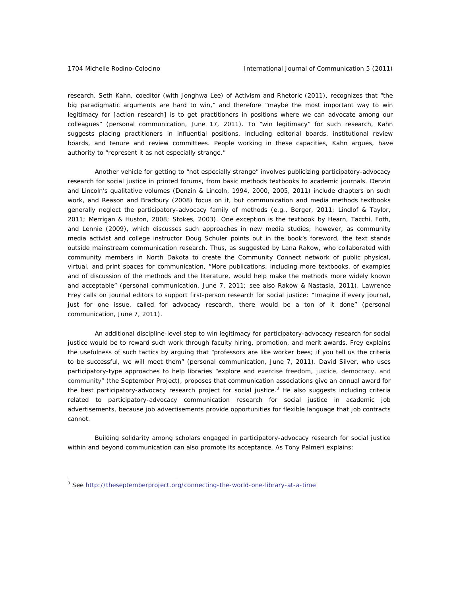research. Seth Kahn, coeditor (with Jonghwa Lee) of *Activism and Rhetoric* (2011), recognizes that "the big paradigmatic arguments are hard to win," and therefore "maybe the most important way to win legitimacy for [action research] is to get practitioners in positions where we can advocate among our colleagues" (personal communication, June 17, 2011). To "win legitimacy" for such research, Kahn suggests placing practitioners in influential positions, including editorial boards, institutional review boards, and tenure and review committees. People working in these capacities, Kahn argues, have authority to "represent it as not especially strange."

Another vehicle for getting to "not especially strange" involves publicizing participatory-advocacy research for social justice in printed forums, from basic methods textbooks to academic journals. Denzin and Lincoln's qualitative volumes (Denzin & Lincoln, 1994, 2000, 2005, 2011) include chapters on such work, and Reason and Bradbury (2008) focus on it, but communication and media methods textbooks generally neglect the participatory-advocacy family of methods (e.g., Berger, 2011; Lindlof & Taylor, 2011; Merrigan & Huston, 2008; Stokes, 2003). One exception is the textbook by Hearn, Tacchi, Foth, and Lennie (2009), which discusses such approaches in new media studies; however, as community media activist and college instructor Doug Schuler points out in the book's foreword, the text stands outside mainstream communication research. Thus, as suggested by Lana Rakow, who collaborated with community members in North Dakota to create the Community Connect network of public physical, virtual, and print spaces for communication, "More publications, including more textbooks, of examples and of discussion of the methods and the literature, would help make the methods more widely known and acceptable" (personal communication, June 7, 2011; see also Rakow & Nastasia, 2011). Lawrence Frey calls on journal editors to support first-person research for social justice: "Imagine if every journal, just for one issue, called for advocacy research, there would be a ton of it done" (personal communication, June 7, 2011).

An additional discipline-level step to win legitimacy for participatory-advocacy research for social justice would be to reward such work through faculty hiring, promotion, and merit awards. Frey explains the usefulness of such tactics by arguing that "professors are like worker bees; if you tell us the criteria to be successful, we will meet them" (personal communication, June 7, 2011). David Silver, who uses participatory-type approaches to help libraries "explore and exercise freedom, justice, democracy, and community" (the September Project), proposes that communication associations give an annual award for the best participatory-advocacy research project for social justice.<sup>3</sup> He also suggests including criteria related to participatory-advocacy communication research for social justice in academic job advertisements, because job advertisements provide opportunities for flexible language that job contracts cannot.

Building solidarity among scholars engaged in participatory-advocacy research for social justice within and beyond communication can also promote its acceptance. As Tony Palmeri explains:

 $\overline{a}$ 

<sup>&</sup>lt;sup>3</sup> See http://theseptemberproject.org/connecting-the-world-one-library-at-a-time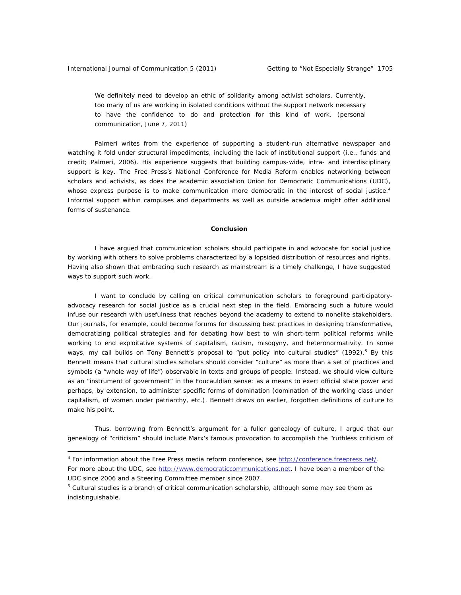$\overline{a}$ 

We definitely need to develop an ethic of solidarity among activist scholars. Currently, too many of us are working in isolated conditions without the support network necessary to have the confidence to do and protection for this kind of work. (personal communication, June 7, 2011)

Palmeri writes from the experience of supporting a student-run alternative newspaper and watching it fold under structural impediments, including the lack of institutional support (i.e., funds and credit; Palmeri, 2006). His experience suggests that building campus-wide, intra- and interdisciplinary support is key. The Free Press's National Conference for Media Reform enables networking between scholars and activists, as does the academic association Union for Democratic Communications (UDC), whose express purpose is to make communication more democratic in the interest of social justice. $4$ Informal support within campuses and departments as well as outside academia might offer additional forms of sustenance.

### **Conclusion**

I have argued that communication scholars should participate in and advocate for social justice by working with others to solve problems characterized by a lopsided distribution of resources and rights. Having also shown that embracing such research as mainstream is a timely challenge, I have suggested ways to support such work.

I want to conclude by calling on critical communication scholars to foreground participatoryadvocacy research for social justice as a crucial next step in the field. Embracing such a future would infuse our research with usefulness that reaches beyond the academy to extend to nonelite stakeholders. Our journals, for example, could become forums for discussing best practices in designing transformative, democratizing political strategies and for debating how best to win short-term political reforms while working to end exploitative systems of capitalism, racism, misogyny, and heteronormativity. In some ways, my call builds on Tony Bennett's proposal to "put policy into cultural studies" (1992).<sup>5</sup> By this Bennett means that cultural studies scholars should consider "culture" as more than a set of practices and symbols (a "whole way of life") observable in texts and groups of people. Instead, we should view culture as an "instrument of government" in the Foucauldian sense: as a means to exert official state power and perhaps, by extension, to administer specific forms of domination (domination of the working class under capitalism, of women under patriarchy, etc.). Bennett draws on earlier, forgotten definitions of culture to make his point.

Thus, borrowing from Bennett's argument for a fuller genealogy of culture, I argue that our genealogy of "criticism" should include Marx's famous provocation to accomplish the "*ruthless criticism of* 

<sup>4</sup> For information about the Free Press media reform conference, see http://conference.freepress.net/. For more about the UDC, see http://www.democraticcommunications.net. I have been a member of the UDC since 2006 and a Steering Committee member since 2007.

<sup>&</sup>lt;sup>5</sup> Cultural studies is a branch of critical communication scholarship, although some may see them as indistinguishable.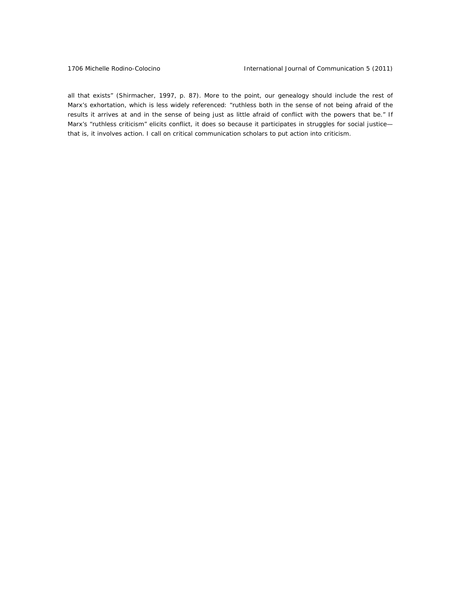*all that exists*" (Shirmacher, 1997, p. 87). More to the point, our genealogy should include the rest of Marx's exhortation, which is less widely referenced: "ruthless both in the sense of not being afraid of the results it arrives at and in the sense of being just as little afraid of conflict with the powers that be." If Marx's "ruthless criticism" elicits conflict, it does so because it participates in struggles for social justice that is, it involves action. I call on critical communication scholars to put action into criticism.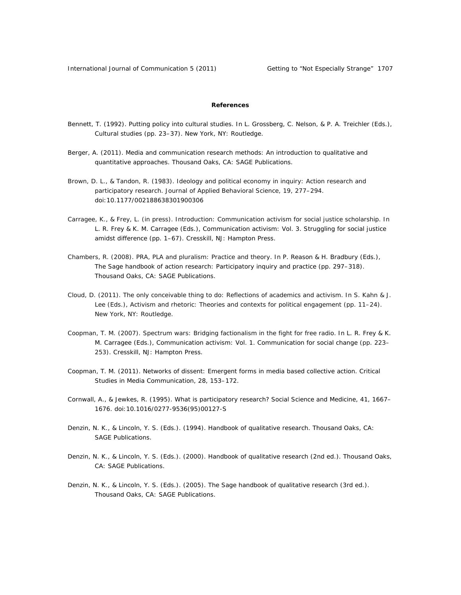#### **References**

- Bennett, T. (1992). Putting policy into cultural studies. In L. Grossberg, C. Nelson, & P. A. Treichler (Eds.), *Cultural studies* (pp. 23–37). New York, NY: Routledge.
- Berger, A. (2011). *Media and communication research methods: An introduction to qualitative and quantitative approaches*. Thousand Oaks, CA: SAGE Publications.
- Brown, D. L., & Tandon, R. (1983). Ideology and political economy in inquiry: Action research and participatory research. *Journal of Applied Behavioral Science, 19,* 277–294. doi:10.1177/002188638301900306
- Carragee, K., & Frey, L. (in press). Introduction: Communication activism for social justice scholarship. In L. R. Frey & K. M. Carragee (Eds.), *Communication activism: Vol. 3. Struggling for social justice amidst difference* (pp. 1–67). Cresskill, NJ: Hampton Press.
- Chambers, R. (2008). PRA, PLA and pluralism: Practice and theory. In P. Reason & H. Bradbury (Eds.), *The Sage handbook of action research: Participatory inquiry and practice* (pp. 297–318)*.* Thousand Oaks, CA: SAGE Publications.
- Cloud, D. (2011). The only conceivable thing to do: Reflections of academics and activism. In S. Kahn & J. Lee (Eds.), Activism and rhetoric: Theories and contexts for political engagement (pp. 11-24). New York, NY: Routledge.
- Coopman, T. M. (2007). Spectrum wars: Bridging factionalism in the fight for free radio. In L. R. Frey & K. M. Carragee (Eds.), *Communication activism: Vol. 1. Communication for social change* (pp. 223– 253). Cresskill, NJ: Hampton Press.
- Coopman, T. M. (2011). Networks of dissent: Emergent forms in media based collective action*. Critical Studies in Media Communication, 28,* 153–172.
- Cornwall, A., & Jewkes, R. (1995). What is participatory research? *Social Science and Medicine, 41,* 1667– 1676. doi:10.1016/0277-9536(95)00127-S
- Denzin, N. K., & Lincoln, Y. S. (Eds.). (1994). *Handbook of qualitative research*. Thousand Oaks, CA: SAGE Publications.
- Denzin, N. K., & Lincoln, Y. S. (Eds.). (2000). *Handbook of qualitative research* (2nd ed.). Thousand Oaks, CA: SAGE Publications.
- Denzin, N. K., & Lincoln, Y. S. (Eds.). (2005). *The Sage handbook of qualitative research* (3rd ed.). Thousand Oaks, CA: SAGE Publications.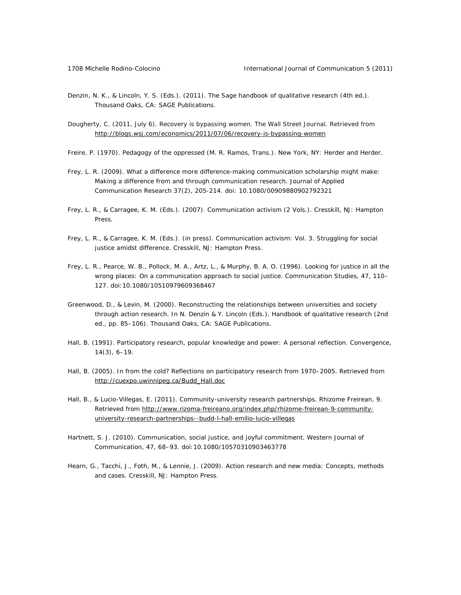- Denzin, N. K., & Lincoln, Y. S. (Eds.). (2011). *The Sage handbook of qualitative research* (4th ed.). Thousand Oaks, CA: SAGE Publications.
- Dougherty, C. (2011, July 6). Recovery is bypassing women. *The Wall Street Journal*. Retrieved from http://blogs.wsj.com/economics/2011/07/06/recovery-is-bypassing-women
- Freire, P. (1970). *Pedagogy of the oppressed* (M. R. Ramos, Trans.). New York, NY: Herder and Herder.
- Frey, L. R. (2009). What a difference more difference-making communication scholarship might make: Making a difference from and through communication research. *Journal of Applied Communication Research 37(*2), 205-214. doi: 10.1080/00909880902792321
- Frey, L. R., & Carragee, K. M. (Eds.). (2007). *Communication activism* (2 Vols.). Cresskill, NJ: Hampton Press.
- Frey, L. R., & Carragee, K. M. (Eds.). (in press). *Communication activism: Vol. 3. Struggling for social justice amidst difference.* Cresskill, NJ: Hampton Press.
- Frey, L. R., Pearce, W. B., Pollock, M. A., Artz, L., & Murphy, B. A. O. (1996). Looking for justice in all the wrong places: On a communication approach to social justice. *Communication Studies, 47,* 110– 127. doi:10.1080/10510979609368467
- Greenwood, D., & Levin, M. (2000). Reconstructing the relationships between universities and society through action research. In N. Denzin & Y. Lincoln (Eds.), *Handbook of qualitative research* (2nd ed., pp. 85–106). Thousand Oaks, CA: SAGE Publications.
- Hall, B. (1991). Participatory research, popular knowledge and power: A personal reflection. *Convergence, 14*(3), 6–19.
- Hall, B. (2005). *In from the cold? Reflections on participatory research from 1970–2005*. Retrieved from http://cuexpo.uwinnipeg.ca/Budd\_Hall.doc
- Hall, B., & Lucio-Villegas, E. (2011). Community-university research partnerships. *Rhizome Freirean, 9*. Retrieved from http://www.rizoma-freireano.org/index.php/rhizome-freirean-9-communityuniversity-research-partnerships--budd-l-hall-emilio-lucio-villegas
- Hartnett, S. J. (2010). Communication, social justice, and joyful commitment. *Western Journal of Communication, 47,* 68–93. doi:10.1080/10570310903463778
- Hearn, G., Tacchi, J., Foth, M., & Lennie, J. (2009). *Action research and new media: Concepts, methods and cases*. Cresskill, NJ: Hampton Press.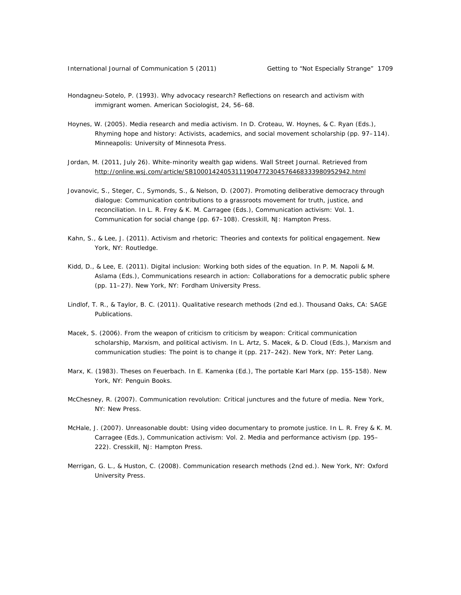- Hondagneu-Sotelo, P. (1993). Why advocacy research? Reflections on research and activism with immigrant women. *American Sociologist, 24,* 56–68.
- Hoynes, W. (2005). Media research and media activism. In D. Croteau, W. Hoynes, & C. Ryan (Eds.), *Rhyming hope and history: Activists, academics, and social movement scholarship* (pp. 97–114). Minneapolis: University of Minnesota Press.
- Jordan, M. (2011, July 26). White-minority wealth gap widens. *Wall Street Journal*. Retrieved from http://online.wsj.com/article/SB10001424053111904772304576468333980952942.html
- Jovanovic, S., Steger, C., Symonds, S., & Nelson, D. (2007). Promoting deliberative democracy through dialogue: Communication contributions to a grassroots movement for truth, justice, and reconciliation. In L. R. Frey & K. M. Carragee (Eds.), *Communication activism: Vol. 1. Communication for social change* (pp. 67–108). Cresskill, NJ: Hampton Press.
- Kahn, S., & Lee, J. (2011). *Activism and rhetoric: Theories and contexts for political engagement*. New York, NY: Routledge.
- Kidd, D., & Lee, E. (2011). Digital inclusion: Working both sides of the equation. In P. M. Napoli & M. Aslama (Eds.), *Communications research in action: Collaborations for a democratic public sphere* (pp. 11–27)*.* New York, NY: Fordham University Press.
- Lindlof, T. R., & Taylor, B. C. (2011). *Qualitative research methods* (2nd ed.). Thousand Oaks, CA: SAGE Publications.
- Macek, S. (2006). From the weapon of criticism to criticism by weapon: Critical communication scholarship, Marxism, and political activism. In L. Artz, S. Macek, & D. Cloud (Eds.), *Marxism and communication studies: The point is to change it* (pp. 217–242). New York, NY: Peter Lang.
- Marx, K. (1983). Theses on Feuerbach. In E. Kamenka (Ed.), *The portable Karl Marx* (pp. 155-158). New York, NY: Penguin Books.
- McChesney, R. (2007). *Communication revolution: Critical junctures and the future of media*. New York, NY: New Press.
- McHale, J. (2007). Unreasonable doubt: Using video documentary to promote justice. In L. R. Frey & K. M. Carragee (Eds.), *Communication activism: Vol. 2. Media and performance activism* (pp. 195– 222). Cresskill, NJ: Hampton Press.
- Merrigan, G. L., & Huston, C. (2008). *Communication research methods* (2nd ed.). New York, NY: Oxford University Press.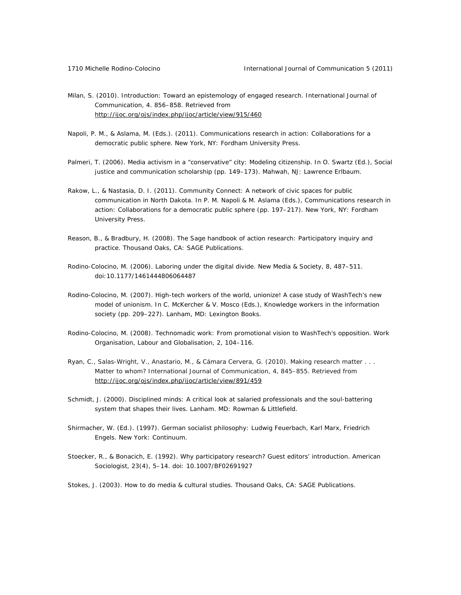- Milan, S. (2010). Introduction: Toward an epistemology of engaged research. *International Journal of Communication, 4.* 856–858. Retrieved from http://ijoc.org/ojs/index.php/ijoc/article/view/915/460
- Napoli, P. M., & Aslama, M. (Eds.). (2011). *Communications research in action: Collaborations for a democratic public sphere.* New York, NY: Fordham University Press.
- Palmeri, T. (2006). Media activism in a "conservative" city: Modeling citizenship. In O. Swartz (Ed.), *Social justice and communication scholarship* (pp. 149–173). Mahwah, NJ: Lawrence Erlbaum.
- Rakow, L., & Nastasia, D. I. (2011). Community Connect: A network of civic spaces for public communication in North Dakota. In P. M. Napoli & M. Aslama (Eds.), *Communications research in action: Collaborations for a democratic public sphere* (pp. 197–217)*.* New York, NY: Fordham University Press.
- Reason, B., & Bradbury, H. (2008). *The Sage handbook of action research: Participatory inquiry and practice.* Thousand Oaks, CA: SAGE Publications.
- Rodino-Colocino, M. (2006). Laboring under the digital divide. *New Media & Society, 8,* 487–511. doi:10.1177/1461444806064487
- Rodino-Colocino, M. (2007). High-tech workers of the world, unionize! A case study of WashTech's new model of unionism. In C. McKercher & V. Mosco (Eds.), *Knowledge workers in the information society* (pp. 209–227). Lanham, MD: Lexington Books.
- Rodino-Colocino, M. (2008). Technomadic work: From promotional vision to WashTech's opposition. *Work Organisation, Labour and Globalisation, 2,* 104–116.
- Ryan, C., Salas-Wright, V., Anastario, M., & Cámara Cervera, G. (2010). Making research matter . . . Matter to whom? *International Journal of Communication, 4*, 845–855. Retrieved from http://ijoc.org/ojs/index.php/ijoc/article/view/891/459
- Schmidt, J. (2000). *Disciplined minds: A critical look at salaried professionals and the soul-battering system that shapes their lives*. Lanham. MD: Rowman & Littlefield.
- Shirmacher, W. (Ed.). (1997). *German socialist philosophy: Ludwig Feuerbach, Karl Marx, Friedrich Engels.* New York: Continuum.
- Stoecker, R., & Bonacich, E. (1992). Why participatory research? Guest editors' introduction. *American Sociologist, 23*(4), 5–14. doi: 10.1007/BF02691927
- Stokes, J. (2003). *How to do media & cultural studies*. Thousand Oaks, CA: SAGE Publications.